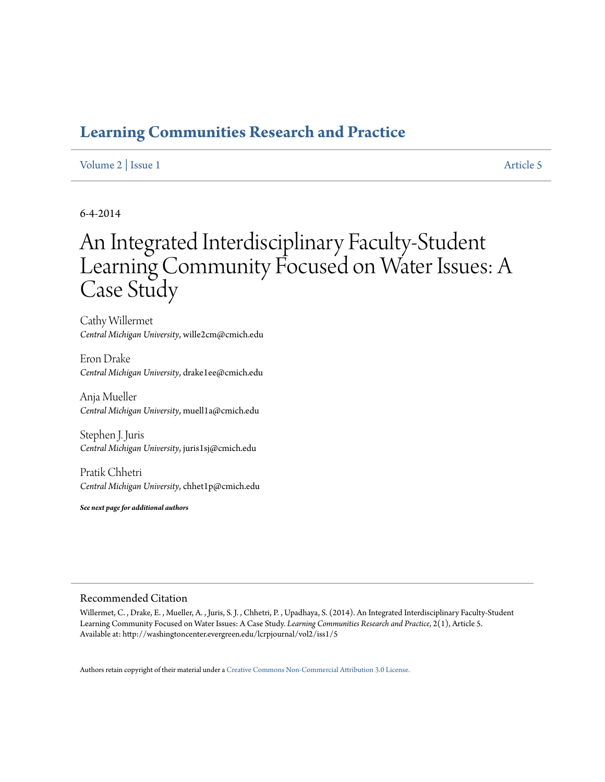## **[Learning Communities Research and Practice](http://washingtoncenter.evergreen.edu/lcrpjournal)**

### [Volume 2](http://washingtoncenter.evergreen.edu/lcrpjournal/vol2) | [Issue 1](http://washingtoncenter.evergreen.edu/lcrpjournal/vol2/iss1) [Article 5](http://washingtoncenter.evergreen.edu/lcrpjournal/vol2/iss1/5)

## 6-4-2014

# An Integrated Interdisciplinary Faculty-Student Learning Community Focused on Water Issues: A Case Study

Cathy Willermet *Central Michigan University*, wille2cm@cmich.edu

Eron Drake *Central Michigan University*, drake1ee@cmich.edu

Anja Mueller *Central Michigan University*, muell1a@cmich.edu

Stephen J. Juris *Central Michigan University*, juris1sj@cmich.edu

Pratik Chhetri *Central Michigan University*, chhet1p@cmich.edu

*See next page for additional authors*

#### Recommended Citation

Willermet, C. , Drake, E. , Mueller, A. , Juris, S. J. , Chhetri, P. , Upadhaya, S. (2014). An Integrated Interdisciplinary Faculty-Student Learning Community Focused on Water Issues: A Case Study. *Learning Communities Research and Practice*, 2(1), Article 5. Available at: http://washingtoncenter.evergreen.edu/lcrpjournal/vol2/iss1/5

Authors retain copyright of their material under a [Creative Commons Non-Commercial Attribution 3.0 License.](http://creativecommons.org/licenses/by-nc/3.0/)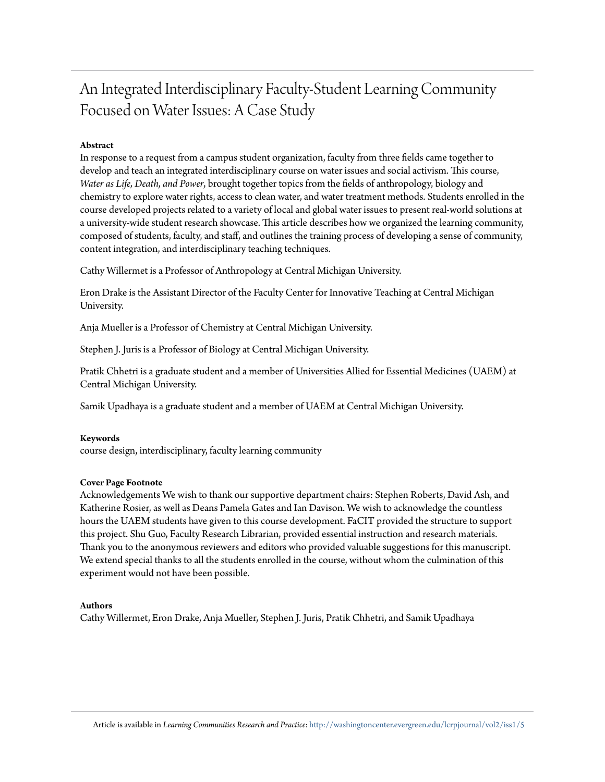## An Integrated Interdisciplinary Faculty-Student Learning Community Focused on Water Issues: A Case Study

#### **Abstract**

In response to a request from a campus student organization, faculty from three fields came together to develop and teach an integrated interdisciplinary course on water issues and social activism. This course, *Water as Life, Death, and Power*, brought together topics from the fields of anthropology, biology and chemistry to explore water rights, access to clean water, and water treatment methods. Students enrolled in the course developed projects related to a variety of local and global water issues to present real-world solutions at a university-wide student research showcase. This article describes how we organized the learning community, composed of students, faculty, and staff, and outlines the training process of developing a sense of community, content integration, and interdisciplinary teaching techniques.

Cathy Willermet is a Professor of Anthropology at Central Michigan University.

Eron Drake is the Assistant Director of the Faculty Center for Innovative Teaching at Central Michigan University.

Anja Mueller is a Professor of Chemistry at Central Michigan University.

Stephen J. Juris is a Professor of Biology at Central Michigan University.

Pratik Chhetri is a graduate student and a member of Universities Allied for Essential Medicines (UAEM) at Central Michigan University.

Samik Upadhaya is a graduate student and a member of UAEM at Central Michigan University.

#### **Keywords**

course design, interdisciplinary, faculty learning community

#### **Cover Page Footnote**

Acknowledgements We wish to thank our supportive department chairs: Stephen Roberts, David Ash, and Katherine Rosier, as well as Deans Pamela Gates and Ian Davison. We wish to acknowledge the countless hours the UAEM students have given to this course development. FaCIT provided the structure to support this project. Shu Guo, Faculty Research Librarian, provided essential instruction and research materials. Thank you to the anonymous reviewers and editors who provided valuable suggestions for this manuscript. We extend special thanks to all the students enrolled in the course, without whom the culmination of this experiment would not have been possible.

#### **Authors**

Cathy Willermet, Eron Drake, Anja Mueller, Stephen J. Juris, Pratik Chhetri, and Samik Upadhaya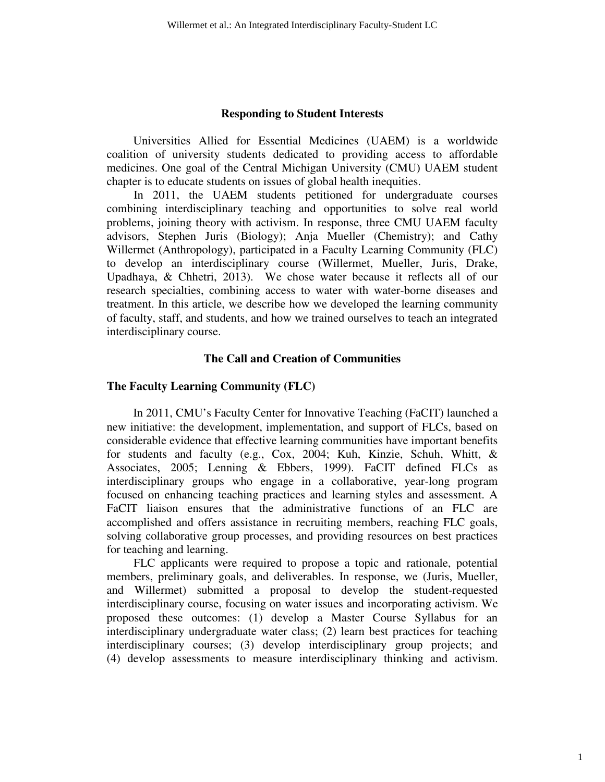#### **Responding to Student Interests**

Universities Allied for Essential Medicines (UAEM) is a worldwide coalition of university students dedicated to providing access to affordable medicines. One goal of the Central Michigan University (CMU) UAEM student chapter is to educate students on issues of global health inequities.

In 2011, the UAEM students petitioned for undergraduate courses combining interdisciplinary teaching and opportunities to solve real world problems, joining theory with activism. In response, three CMU UAEM faculty advisors, Stephen Juris (Biology); Anja Mueller (Chemistry); and Cathy Willermet (Anthropology), participated in a Faculty Learning Community (FLC) to develop an interdisciplinary course (Willermet, Mueller, Juris, Drake, Upadhaya, & Chhetri, 2013). We chose water because it reflects all of our research specialties, combining access to water with water-borne diseases and treatment. In this article, we describe how we developed the learning community of faculty, staff, and students, and how we trained ourselves to teach an integrated interdisciplinary course.

## **The Call and Creation of Communities**

#### **The Faculty Learning Community (FLC)**

In 2011, CMU's Faculty Center for Innovative Teaching (FaCIT) launched a new initiative: the development, implementation, and support of FLCs, based on considerable evidence that effective learning communities have important benefits for students and faculty (e.g., Cox, 2004; Kuh, Kinzie, Schuh, Whitt, & Associates, 2005; Lenning & Ebbers, 1999). FaCIT defined FLCs as interdisciplinary groups who engage in a collaborative, year-long program focused on enhancing teaching practices and learning styles and assessment. A FaCIT liaison ensures that the administrative functions of an FLC are accomplished and offers assistance in recruiting members, reaching FLC goals, solving collaborative group processes, and providing resources on best practices for teaching and learning.

FLC applicants were required to propose a topic and rationale, potential members, preliminary goals, and deliverables. In response, we (Juris, Mueller, and Willermet) submitted a proposal to develop the student-requested interdisciplinary course, focusing on water issues and incorporating activism. We proposed these outcomes: (1) develop a Master Course Syllabus for an interdisciplinary undergraduate water class; (2) learn best practices for teaching interdisciplinary courses; (3) develop interdisciplinary group projects; and (4) develop assessments to measure interdisciplinary thinking and activism.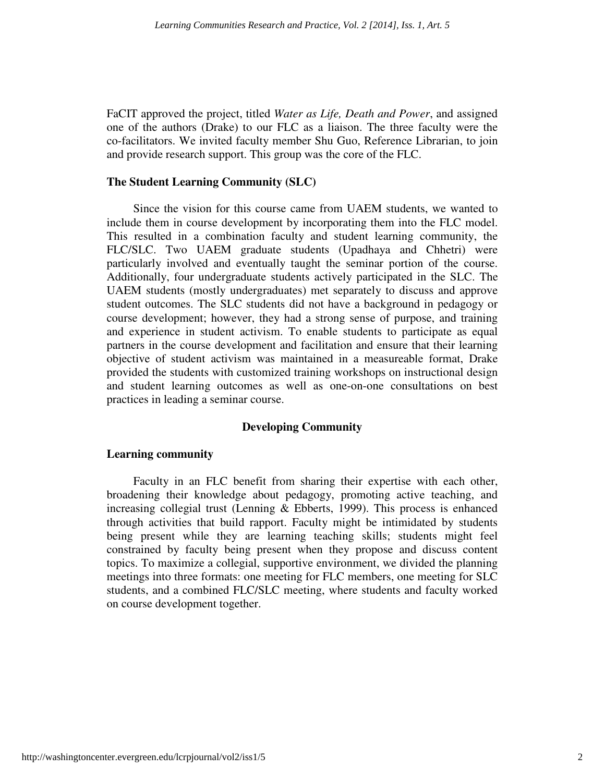FaCIT approved the project, titled *Water as Life, Death and Power*, and assigned one of the authors (Drake) to our FLC as a liaison. The three faculty were the co-facilitators. We invited faculty member Shu Guo, Reference Librarian, to join and provide research support. This group was the core of the FLC.

## **The Student Learning Community (SLC)**

Since the vision for this course came from UAEM students, we wanted to include them in course development by incorporating them into the FLC model. This resulted in a combination faculty and student learning community, the FLC/SLC. Two UAEM graduate students (Upadhaya and Chhetri) were particularly involved and eventually taught the seminar portion of the course. Additionally, four undergraduate students actively participated in the SLC. The UAEM students (mostly undergraduates) met separately to discuss and approve student outcomes. The SLC students did not have a background in pedagogy or course development; however, they had a strong sense of purpose, and training and experience in student activism. To enable students to participate as equal partners in the course development and facilitation and ensure that their learning objective of student activism was maintained in a measureable format, Drake provided the students with customized training workshops on instructional design and student learning outcomes as well as one-on-one consultations on best practices in leading a seminar course.

## **Developing Community**

## **Learning community**

Faculty in an FLC benefit from sharing their expertise with each other, broadening their knowledge about pedagogy, promoting active teaching, and increasing collegial trust (Lenning & Ebberts, 1999). This process is enhanced through activities that build rapport. Faculty might be intimidated by students being present while they are learning teaching skills; students might feel constrained by faculty being present when they propose and discuss content topics. To maximize a collegial, supportive environment, we divided the planning meetings into three formats: one meeting for FLC members, one meeting for SLC students, and a combined FLC/SLC meeting, where students and faculty worked on course development together.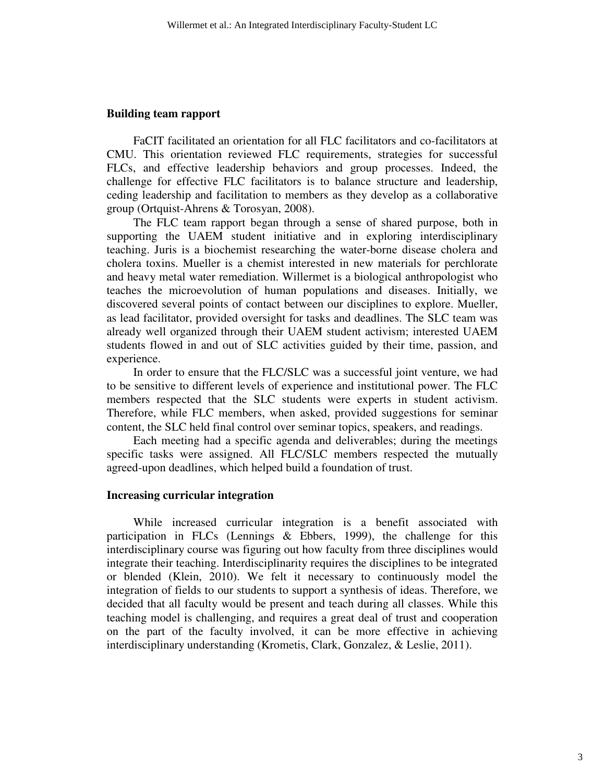#### **Building team rapport**

FaCIT facilitated an orientation for all FLC facilitators and co-facilitators at CMU. This orientation reviewed FLC requirements, strategies for successful FLCs, and effective leadership behaviors and group processes. Indeed, the challenge for effective FLC facilitators is to balance structure and leadership, ceding leadership and facilitation to members as they develop as a collaborative group (Ortquist-Ahrens & Torosyan, 2008).

The FLC team rapport began through a sense of shared purpose, both in supporting the UAEM student initiative and in exploring interdisciplinary teaching. Juris is a biochemist researching the water-borne disease cholera and cholera toxins. Mueller is a chemist interested in new materials for perchlorate and heavy metal water remediation. Willermet is a biological anthropologist who teaches the microevolution of human populations and diseases. Initially, we discovered several points of contact between our disciplines to explore. Mueller, as lead facilitator, provided oversight for tasks and deadlines. The SLC team was already well organized through their UAEM student activism; interested UAEM students flowed in and out of SLC activities guided by their time, passion, and experience.

In order to ensure that the FLC/SLC was a successful joint venture, we had to be sensitive to different levels of experience and institutional power. The FLC members respected that the SLC students were experts in student activism. Therefore, while FLC members, when asked, provided suggestions for seminar content, the SLC held final control over seminar topics, speakers, and readings.

Each meeting had a specific agenda and deliverables; during the meetings specific tasks were assigned. All FLC/SLC members respected the mutually agreed-upon deadlines, which helped build a foundation of trust.

#### **Increasing curricular integration**

While increased curricular integration is a benefit associated with participation in FLCs (Lennings & Ebbers, 1999), the challenge for this interdisciplinary course was figuring out how faculty from three disciplines would integrate their teaching. Interdisciplinarity requires the disciplines to be integrated or blended (Klein, 2010). We felt it necessary to continuously model the integration of fields to our students to support a synthesis of ideas. Therefore, we decided that all faculty would be present and teach during all classes. While this teaching model is challenging, and requires a great deal of trust and cooperation on the part of the faculty involved, it can be more effective in achieving interdisciplinary understanding (Krometis, Clark, Gonzalez, & Leslie, 2011).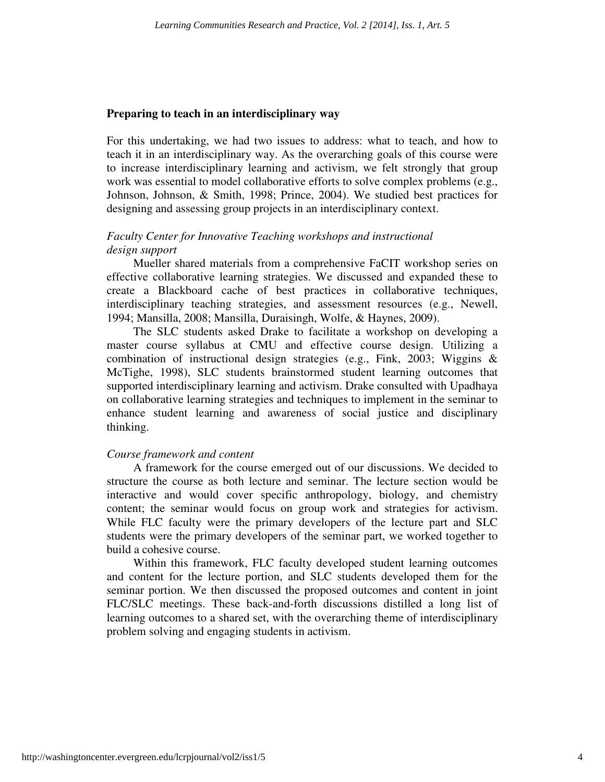### **Preparing to teach in an interdisciplinary way**

For this undertaking, we had two issues to address: what to teach, and how to teach it in an interdisciplinary way. As the overarching goals of this course were to increase interdisciplinary learning and activism, we felt strongly that group work was essential to model collaborative efforts to solve complex problems (e.g., Johnson, Johnson, & Smith, 1998; Prince, 2004). We studied best practices for designing and assessing group projects in an interdisciplinary context.

## *Faculty Center for Innovative Teaching workshops and instructional design support*

Mueller shared materials from a comprehensive FaCIT workshop series on effective collaborative learning strategies. We discussed and expanded these to create a Blackboard cache of best practices in collaborative techniques, interdisciplinary teaching strategies, and assessment resources (e.g., Newell, 1994; Mansilla, 2008; Mansilla, Duraisingh, Wolfe, & Haynes, 2009).

The SLC students asked Drake to facilitate a workshop on developing a master course syllabus at CMU and effective course design. Utilizing a combination of instructional design strategies (e.g., Fink, 2003; Wiggins & McTighe, 1998), SLC students brainstormed student learning outcomes that supported interdisciplinary learning and activism. Drake consulted with Upadhaya on collaborative learning strategies and techniques to implement in the seminar to enhance student learning and awareness of social justice and disciplinary thinking.

### *Course framework and content*

A framework for the course emerged out of our discussions. We decided to structure the course as both lecture and seminar. The lecture section would be interactive and would cover specific anthropology, biology, and chemistry content; the seminar would focus on group work and strategies for activism. While FLC faculty were the primary developers of the lecture part and SLC students were the primary developers of the seminar part, we worked together to build a cohesive course.

Within this framework, FLC faculty developed student learning outcomes and content for the lecture portion, and SLC students developed them for the seminar portion. We then discussed the proposed outcomes and content in joint FLC/SLC meetings. These back-and-forth discussions distilled a long list of learning outcomes to a shared set, with the overarching theme of interdisciplinary problem solving and engaging students in activism.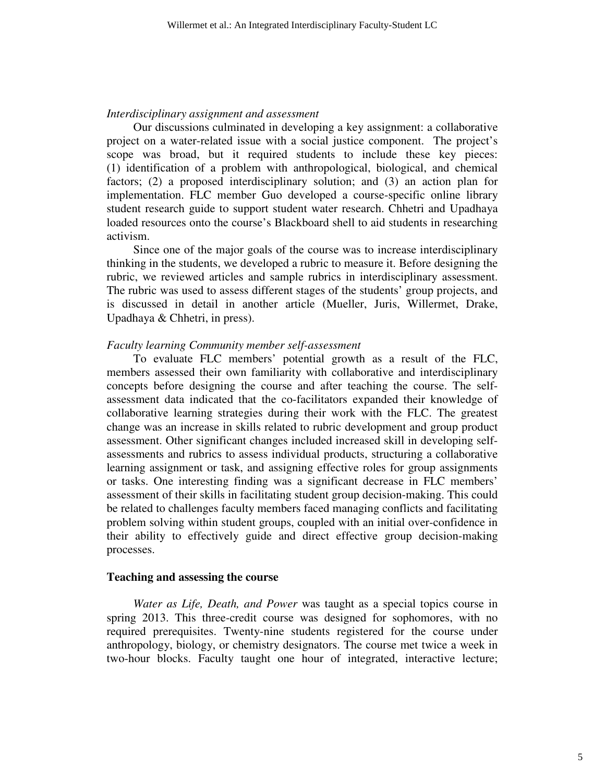#### *Interdisciplinary assignment and assessment*

Our discussions culminated in developing a key assignment: a collaborative project on a water-related issue with a social justice component. The project's scope was broad, but it required students to include these key pieces: (1) identification of a problem with anthropological, biological, and chemical factors; (2) a proposed interdisciplinary solution; and (3) an action plan for implementation. FLC member Guo developed a course-specific online library student research guide to support student water research. Chhetri and Upadhaya loaded resources onto the course's Blackboard shell to aid students in researching activism.

Since one of the major goals of the course was to increase interdisciplinary thinking in the students, we developed a rubric to measure it. Before designing the rubric, we reviewed articles and sample rubrics in interdisciplinary assessment. The rubric was used to assess different stages of the students' group projects, and is discussed in detail in another article (Mueller, Juris, Willermet, Drake, Upadhaya & Chhetri, in press).

#### *Faculty learning Community member self-assessment*

To evaluate FLC members' potential growth as a result of the FLC, members assessed their own familiarity with collaborative and interdisciplinary concepts before designing the course and after teaching the course. The selfassessment data indicated that the co-facilitators expanded their knowledge of collaborative learning strategies during their work with the FLC. The greatest change was an increase in skills related to rubric development and group product assessment. Other significant changes included increased skill in developing selfassessments and rubrics to assess individual products, structuring a collaborative learning assignment or task, and assigning effective roles for group assignments or tasks. One interesting finding was a significant decrease in FLC members' assessment of their skills in facilitating student group decision-making. This could be related to challenges faculty members faced managing conflicts and facilitating problem solving within student groups, coupled with an initial over-confidence in their ability to effectively guide and direct effective group decision-making processes.

### **Teaching and assessing the course**

*Water as Life, Death, and Power* was taught as a special topics course in spring 2013. This three-credit course was designed for sophomores, with no required prerequisites. Twenty-nine students registered for the course under anthropology, biology, or chemistry designators. The course met twice a week in two-hour blocks. Faculty taught one hour of integrated, interactive lecture;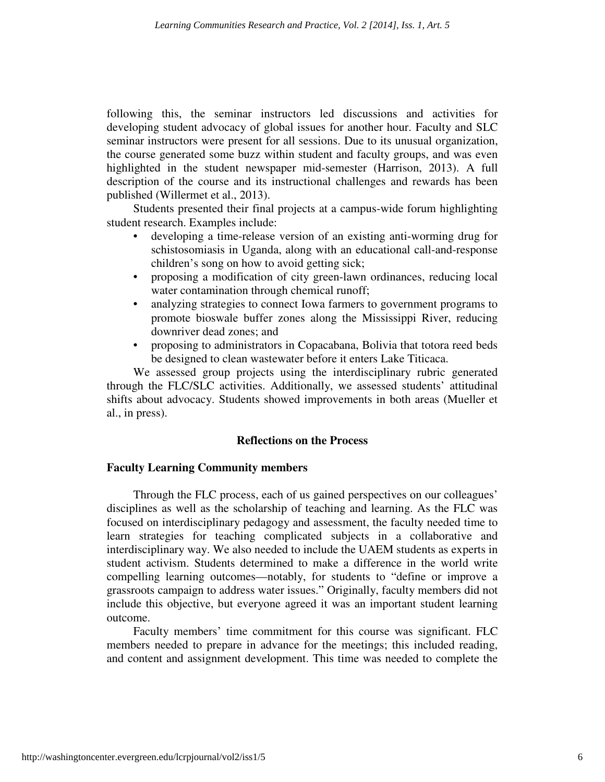following this, the seminar instructors led discussions and activities for developing student advocacy of global issues for another hour. Faculty and SLC seminar instructors were present for all sessions. Due to its unusual organization, the course generated some buzz within student and faculty groups, and was even highlighted in the student newspaper mid-semester (Harrison, 2013). A full description of the course and its instructional challenges and rewards has been published (Willermet et al., 2013).

Students presented their final projects at a campus-wide forum highlighting student research. Examples include:

- developing a time-release version of an existing anti-worming drug for schistosomiasis in Uganda, along with an educational call-and-response children's song on how to avoid getting sick;
- proposing a modification of city green-lawn ordinances, reducing local water contamination through chemical runoff;
- analyzing strategies to connect Iowa farmers to government programs to promote bioswale buffer zones along the Mississippi River, reducing downriver dead zones; and
- proposing to administrators in Copacabana, Bolivia that totora reed beds be designed to clean wastewater before it enters Lake Titicaca.

We assessed group projects using the interdisciplinary rubric generated through the FLC/SLC activities. Additionally, we assessed students' attitudinal shifts about advocacy. Students showed improvements in both areas (Mueller et al., in press).

## **Reflections on the Process**

## **Faculty Learning Community members**

Through the FLC process, each of us gained perspectives on our colleagues' disciplines as well as the scholarship of teaching and learning. As the FLC was focused on interdisciplinary pedagogy and assessment, the faculty needed time to learn strategies for teaching complicated subjects in a collaborative and interdisciplinary way. We also needed to include the UAEM students as experts in student activism. Students determined to make a difference in the world write compelling learning outcomes—notably, for students to "define or improve a grassroots campaign to address water issues." Originally, faculty members did not include this objective, but everyone agreed it was an important student learning outcome.

Faculty members' time commitment for this course was significant. FLC members needed to prepare in advance for the meetings; this included reading, and content and assignment development. This time was needed to complete the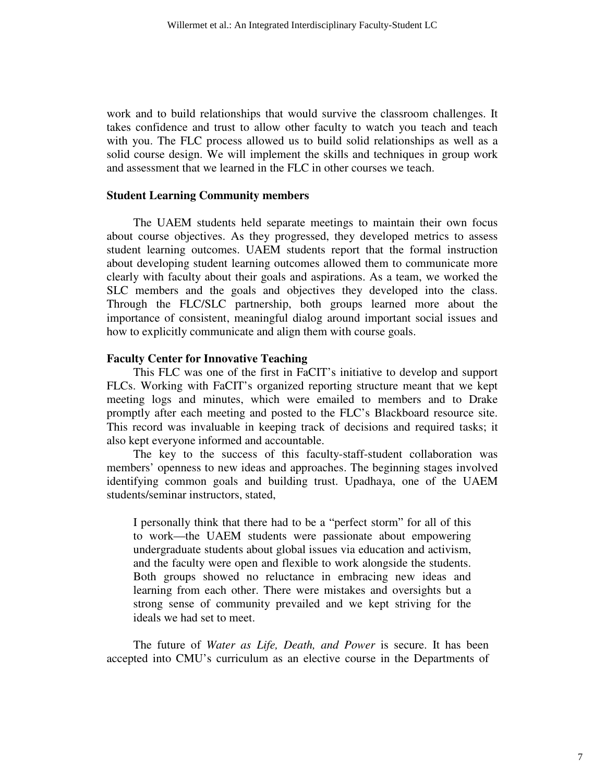work and to build relationships that would survive the classroom challenges. It takes confidence and trust to allow other faculty to watch you teach and teach with you. The FLC process allowed us to build solid relationships as well as a solid course design. We will implement the skills and techniques in group work and assessment that we learned in the FLC in other courses we teach.

#### **Student Learning Community members**

The UAEM students held separate meetings to maintain their own focus about course objectives. As they progressed, they developed metrics to assess student learning outcomes. UAEM students report that the formal instruction about developing student learning outcomes allowed them to communicate more clearly with faculty about their goals and aspirations. As a team, we worked the SLC members and the goals and objectives they developed into the class. Through the FLC/SLC partnership, both groups learned more about the importance of consistent, meaningful dialog around important social issues and how to explicitly communicate and align them with course goals.

#### **Faculty Center for Innovative Teaching**

This FLC was one of the first in FaCIT's initiative to develop and support FLCs. Working with FaCIT's organized reporting structure meant that we kept meeting logs and minutes, which were emailed to members and to Drake promptly after each meeting and posted to the FLC's Blackboard resource site. This record was invaluable in keeping track of decisions and required tasks; it also kept everyone informed and accountable.

The key to the success of this faculty-staff-student collaboration was members' openness to new ideas and approaches. The beginning stages involved identifying common goals and building trust. Upadhaya, one of the UAEM students/seminar instructors, stated,

I personally think that there had to be a "perfect storm" for all of this to work—the UAEM students were passionate about empowering undergraduate students about global issues via education and activism, and the faculty were open and flexible to work alongside the students. Both groups showed no reluctance in embracing new ideas and learning from each other. There were mistakes and oversights but a strong sense of community prevailed and we kept striving for the ideals we had set to meet.

The future of *Water as Life, Death, and Power* is secure. It has been accepted into CMU's curriculum as an elective course in the Departments of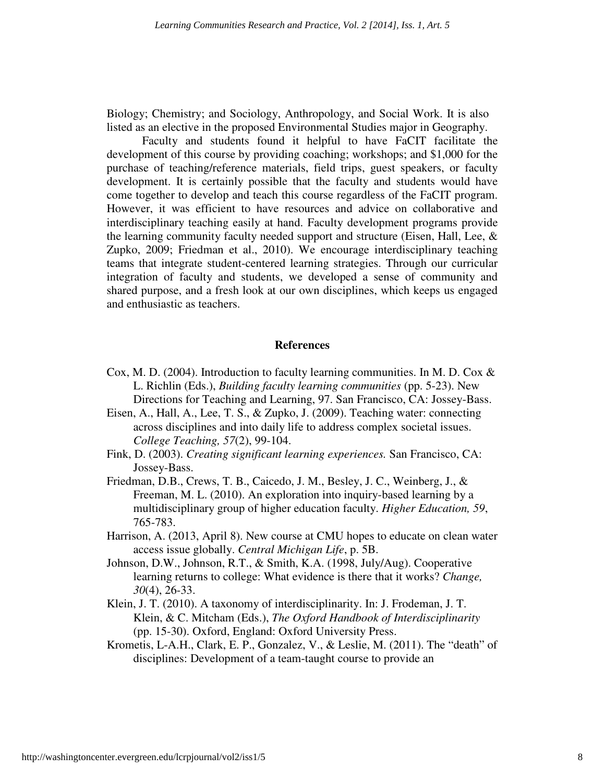Biology; Chemistry; and Sociology, Anthropology, and Social Work. It is also listed as an elective in the proposed Environmental Studies major in Geography.

 Faculty and students found it helpful to have FaCIT facilitate the development of this course by providing coaching; workshops; and \$1,000 for the purchase of teaching/reference materials, field trips, guest speakers, or faculty development. It is certainly possible that the faculty and students would have come together to develop and teach this course regardless of the FaCIT program. However, it was efficient to have resources and advice on collaborative and interdisciplinary teaching easily at hand. Faculty development programs provide the learning community faculty needed support and structure (Eisen, Hall, Lee, & Zupko, 2009; Friedman et al., 2010). We encourage interdisciplinary teaching teams that integrate student-centered learning strategies. Through our curricular integration of faculty and students, we developed a sense of community and shared purpose, and a fresh look at our own disciplines, which keeps us engaged and enthusiastic as teachers.

#### **References**

- Cox, M. D. (2004). Introduction to faculty learning communities. In M. D. Cox & L. Richlin (Eds.), *Building faculty learning communities* (pp. 5-23). New Directions for Teaching and Learning, 97. San Francisco, CA: Jossey-Bass.
- Eisen, A., Hall, A., Lee, T. S., & Zupko, J. (2009). Teaching water: connecting across disciplines and into daily life to address complex societal issues. *College Teaching, 57*(2), 99-104.
- Fink, D. (2003). *Creating significant learning experiences.* San Francisco, CA: Jossey-Bass.
- Friedman, D.B., Crews, T. B., Caicedo, J. M., Besley, J. C., Weinberg, J., & Freeman, M. L. (2010). An exploration into inquiry-based learning by a multidisciplinary group of higher education faculty. *Higher Education, 59*, 765-783.
- Harrison, A. (2013, April 8). New course at CMU hopes to educate on clean water access issue globally. *Central Michigan Life*, p. 5B.
- Johnson, D.W., Johnson, R.T., & Smith, K.A. (1998, July/Aug). Cooperative learning returns to college: What evidence is there that it works? *Change, 30*(4), 26-33.
- Klein, J. T. (2010). A taxonomy of interdisciplinarity. In: J. Frodeman, J. T. Klein, & C. Mitcham (Eds.), *The Oxford Handbook of Interdisciplinarity* (pp. 15-30). Oxford, England: Oxford University Press.
- Krometis, L-A.H., Clark, E. P., Gonzalez, V., & Leslie, M. (2011). The "death" of disciplines: Development of a team-taught course to provide an